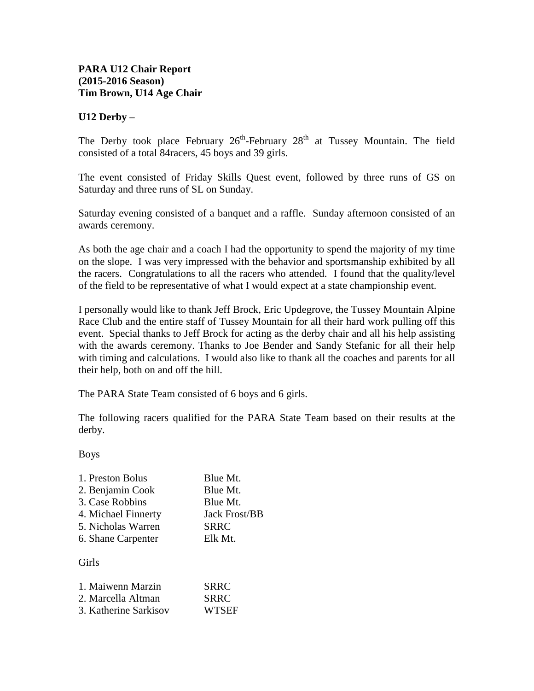## **PARA U12 Chair Report (2015-2016 Season) Tim Brown, U14 Age Chair**

## **U12 Derby** –

The Derby took place February  $26<sup>th</sup>$ -February  $28<sup>th</sup>$  at Tussey Mountain. The field consisted of a total 84racers, 45 boys and 39 girls.

The event consisted of Friday Skills Quest event, followed by three runs of GS on Saturday and three runs of SL on Sunday.

Saturday evening consisted of a banquet and a raffle. Sunday afternoon consisted of an awards ceremony.

As both the age chair and a coach I had the opportunity to spend the majority of my time on the slope. I was very impressed with the behavior and sportsmanship exhibited by all the racers. Congratulations to all the racers who attended. I found that the quality/level of the field to be representative of what I would expect at a state championship event.

I personally would like to thank Jeff Brock, Eric Updegrove, the Tussey Mountain Alpine Race Club and the entire staff of Tussey Mountain for all their hard work pulling off this event. Special thanks to Jeff Brock for acting as the derby chair and all his help assisting with the awards ceremony. Thanks to Joe Bender and Sandy Stefanic for all their help with timing and calculations. I would also like to thank all the coaches and parents for all their help, both on and off the hill.

The PARA State Team consisted of 6 boys and 6 girls.

The following racers qualified for the PARA State Team based on their results at the derby.

Boys

| <b>Jack Frost/BB</b> |
|----------------------|

Girls

| 1. Maiwenn Marzin     | <b>SRRC</b>  |
|-----------------------|--------------|
| 2. Marcella Altman    | <b>SRRC</b>  |
| 3. Katherine Sarkisov | <b>WTSEF</b> |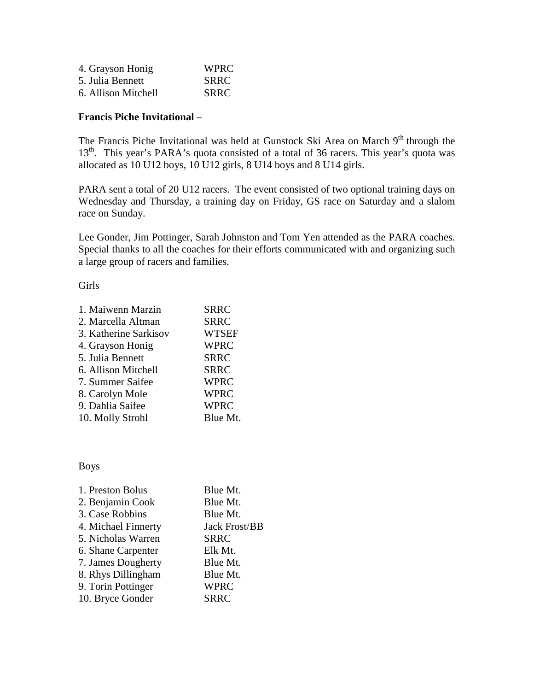| 4. Grayson Honig    | WPRC        |
|---------------------|-------------|
| 5. Julia Bennett    | <b>SRRC</b> |
| 6. Allison Mitchell | <b>SRRC</b> |

## **Francis Piche Invitational** –

The Francis Piche Invitational was held at Gunstock Ski Area on March 9<sup>th</sup> through the 13<sup>th</sup>. This year's PARA's quota consisted of a total of 36 racers. This year's quota was allocated as 10 U12 boys, 10 U12 girls, 8 U14 boys and 8 U14 girls.

PARA sent a total of 20 U12 racers. The event consisted of two optional training days on Wednesday and Thursday, a training day on Friday, GS race on Saturday and a slalom race on Sunday.

Lee Gonder, Jim Pottinger, Sarah Johnston and Tom Yen attended as the PARA coaches. Special thanks to all the coaches for their efforts communicated with and organizing such a large group of racers and families.

Girls

| 1. Maiwenn Marzin     | <b>SRRC</b>  |
|-----------------------|--------------|
| 2. Marcella Altman    | <b>SRRC</b>  |
| 3. Katherine Sarkisov | <b>WTSEF</b> |
| 4. Grayson Honig      | <b>WPRC</b>  |
| 5. Julia Bennett      | <b>SRRC</b>  |
| 6. Allison Mitchell   | <b>SRRC</b>  |
| 7. Summer Saifee      | <b>WPRC</b>  |
| 8. Carolyn Mole       | <b>WPRC</b>  |
| 9. Dahlia Saifee      | <b>WPRC</b>  |
| 10. Molly Strohl      | Blue Mt.     |
|                       |              |

Boys

| Blue Mt.             |
|----------------------|
| Blue Mt.             |
| Blue Mt.             |
| <b>Jack Frost/BB</b> |
| <b>SRRC</b>          |
| Elk Mt.              |
| Blue Mt.             |
| Blue Mt.             |
| <b>WPRC</b>          |
| <b>SRRC</b>          |
|                      |